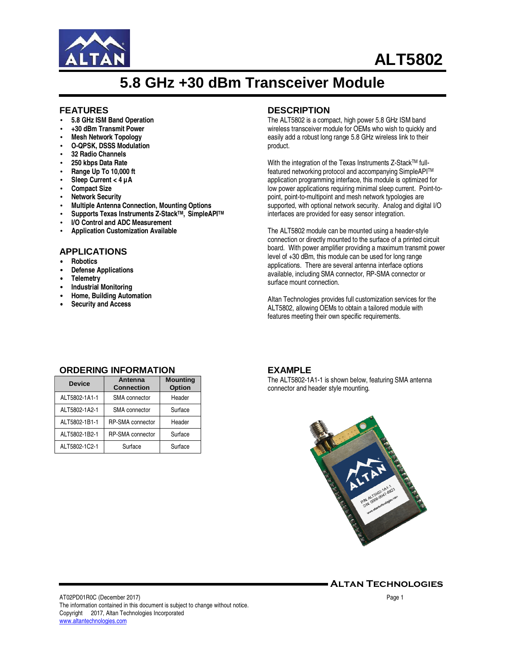

# **ALT5802**

# **5.8 GHz +30 dBm Transceiver Module**

#### **FEATURES**

- **5.8 GHz ISM Band Operation**
- **+30 dBm Transmit Power**
- **Mesh Network Topology**
- **O-QPSK, DSSS Modulation**
- **32 Radio Channels**
- **250 kbps Data Rate**
- **Range Up To 10,000 ft**
- **Sleep Current < 4 µA**
- **Compact Size**
- **Network Security**
- **Multiple Antenna Connection, Mounting Options**
- **Supports Texas Instruments Z-StackTM, SimpleAPITM**
- **I/O Control and ADC Measurement**
- **Application Customization Available**

## **APPLICATIONS**

- **Robotics**
- **Defense Applications**
- **Telemetry**
- **Industrial Monitoring**
- **Home, Building Automation**
- **Security and Access**

#### **DESCRIPTION**

The ALT5802 is a compact, high power 5.8 GHz ISM band wireless transceiver module for OEMs who wish to quickly and easily add a robust long range 5.8 GHz wireless link to their product.

With the integration of the Texas Instruments Z-Stack™ fullfeatured networking protocol and accompanying SimpleAPITM application programming interface, this module is optimized for low power applications requiring minimal sleep current. Point-topoint, point-to-multipoint and mesh network typologies are supported, with optional network security. Analog and digital I/O interfaces are provided for easy sensor integration.

The ALT5802 module can be mounted using a header-style connection or directly mounted to the surface of a printed circuit board. With power amplifier providing a maximum transmit power level of +30 dBm, this module can be used for long range applications. There are several antenna interface options available, including SMA connector, RP-SMA connector or surface mount connection.

Altan Technologies provides full customization services for the ALT5802, allowing OEMs to obtain a tailored module with features meeting their own specific requirements.

## **ORDERING INFORMATION**

| <b>Device</b> | Antenna<br><b>Connection</b> | <b>Mounting</b><br>Option |
|---------------|------------------------------|---------------------------|
| ALT5802-1A1-1 | <b>SMA</b> connector         | Header                    |
| ALT5802-1A2-1 | SMA connector                | Surface                   |
| ALT5802-1B1-1 | RP-SMA connector             | Header                    |
| ALT5802-1B2-1 | RP-SMA connector             | Surface                   |
| ALT5802-1C2-1 | Surface                      | Surface                   |

#### **EXAMPLE**

The ALT5802-1A1-1 is shown below, featuring SMA antenna connector and header style mounting.



Altan Technologies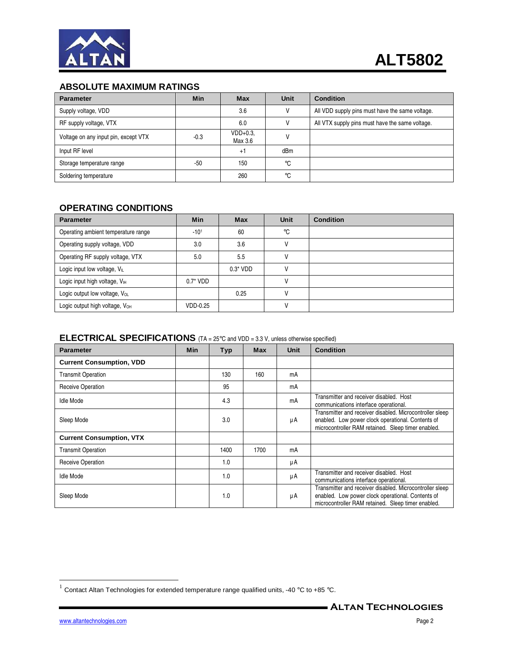

## **ABSOLUTE MAXIMUM RATINGS**

| <b>Parameter</b>                     | <b>Min</b> | <b>Max</b>            | <b>Unit</b>     | <b>Condition</b>                                |
|--------------------------------------|------------|-----------------------|-----------------|-------------------------------------------------|
| Supply voltage, VDD                  |            | 3.6                   |                 | All VDD supply pins must have the same voltage. |
| RF supply voltage, VTX               |            | 6.0                   |                 | All VTX supply pins must have the same voltage. |
| Voltage on any input pin, except VTX | $-0.3$     | $VDD+0.3.$<br>Max 3.6 |                 |                                                 |
| Input RF level                       |            | $+1$                  | dB <sub>m</sub> |                                                 |
| Storage temperature range            | $-50$      | 150                   | $^{\circ}$ C    |                                                 |
| Soldering temperature                |            | 260                   | °C              |                                                 |

## **OPERATING CONDITIONS**

| <b>Parameter</b>                           | <b>Min</b>  | <b>Max</b>  | Unit | <b>Condition</b> |
|--------------------------------------------|-------------|-------------|------|------------------|
| Operating ambient temperature range        | $-101$      | 60          | °C   |                  |
| Operating supply voltage, VDD              | 3.0         | 3.6         |      |                  |
| Operating RF supply voltage, VTX           | 5.0         | 5.5         |      |                  |
| Logic input low voltage, VL                |             | $0.3^*$ VDD |      |                  |
| Logic input high voltage, V <sub>IH</sub>  | $0.7^*$ VDD |             |      |                  |
| Logic output low voltage, VoL              |             | 0.25        |      |                  |
| Logic output high voltage, V <sub>OH</sub> | VDD-0.25    |             |      |                  |

## **ELECTRICAL SPECIFICATIONS** (TA = 25°C and VDD = 3.3 V, unless otherwise specified)

| <b>Parameter</b>                | Min | <b>Typ</b> | <b>Max</b> | <b>Unit</b> | <b>Condition</b>                                                                                                                                                    |
|---------------------------------|-----|------------|------------|-------------|---------------------------------------------------------------------------------------------------------------------------------------------------------------------|
| <b>Current Consumption, VDD</b> |     |            |            |             |                                                                                                                                                                     |
| <b>Transmit Operation</b>       |     | 130        | 160        | mA          |                                                                                                                                                                     |
| Receive Operation               |     | 95         |            | mA          |                                                                                                                                                                     |
| <b>Idle Mode</b>                |     | 4.3        |            | mA          | Transmitter and receiver disabled. Host<br>communications interface operational.                                                                                    |
| Sleep Mode                      |     | 3.0        |            | μA          | Transmitter and receiver disabled. Microcontroller sleep<br>enabled. Low power clock operational. Contents of<br>microcontroller RAM retained. Sleep timer enabled. |
| <b>Current Consumption, VTX</b> |     |            |            |             |                                                                                                                                                                     |
| <b>Transmit Operation</b>       |     | 1400       | 1700       | mA          |                                                                                                                                                                     |
| Receive Operation               |     | 1.0        |            | μA          |                                                                                                                                                                     |
| <b>Idle Mode</b>                |     | 1.0        |            | μA          | Transmitter and receiver disabled. Host<br>communications interface operational.                                                                                    |
| Sleep Mode                      |     | 1.0        |            | μA          | Transmitter and receiver disabled. Microcontroller sleep<br>enabled. Low power clock operational. Contents of<br>microcontroller RAM retained. Sleep timer enabled. |

 1 Contact Altan Technologies for extended temperature range qualified units, -40 °C to +85 °C.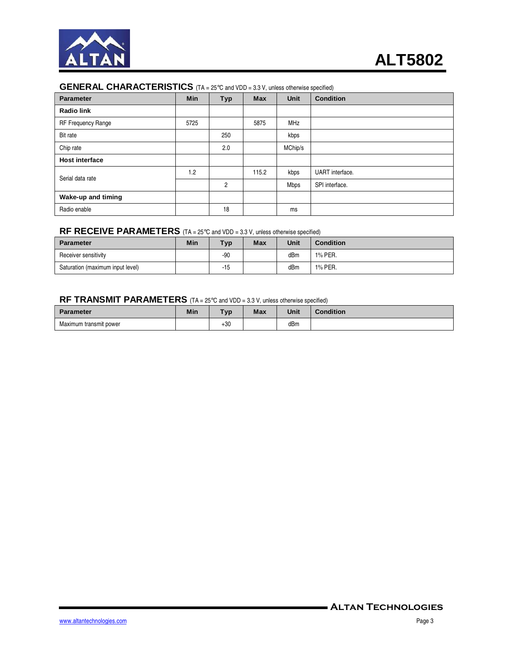

## **GENERAL CHARACTERISTICS** (TA = 25°C and VDD = 3.3 V, unless otherwise specified)

| <b>Parameter</b>      | Min  | <b>Typ</b>     | <b>Max</b> | Unit    | <b>Condition</b> |
|-----------------------|------|----------------|------------|---------|------------------|
| <b>Radio link</b>     |      |                |            |         |                  |
| RF Frequency Range    | 5725 |                | 5875       | MHz     |                  |
| Bit rate              |      | 250            |            | kbps    |                  |
| Chip rate             |      | 2.0            |            | MChip/s |                  |
| <b>Host interface</b> |      |                |            |         |                  |
| Serial data rate      | 1.2  |                | 115.2      | kbps    | UART interface.  |
|                       |      | $\overline{c}$ |            | Mbps    | SPI interface.   |
| Wake-up and timing    |      |                |            |         |                  |
| Radio enable          |      | 18             |            | ms      |                  |

#### **RF RECEIVE PARAMETERS** (TA = 25°C and VDD = 3.3 V, unless otherwise specified)

| <b>Parameter</b>                 | Min | <b>Typ</b> | <b>Max</b> | Unit | <b>Condition</b> |
|----------------------------------|-----|------------|------------|------|------------------|
| Receiver sensitivity             |     | $-90$      |            | dBm  | 1% PER.          |
| Saturation (maximum input level) |     | $-15$      |            | dBm  | 1% PER.          |

## **RF TRANSMIT PARAMETERS** (TA = 25°C and VDD = 3.3 V, unless otherwise specified)

| <b>Parameter</b>       | Min | <b>Typ</b> | <b>Max</b> | <b>Unit</b> | <b>Condition</b> |
|------------------------|-----|------------|------------|-------------|------------------|
| Maximum transmit power |     | +30        |            | dBm         |                  |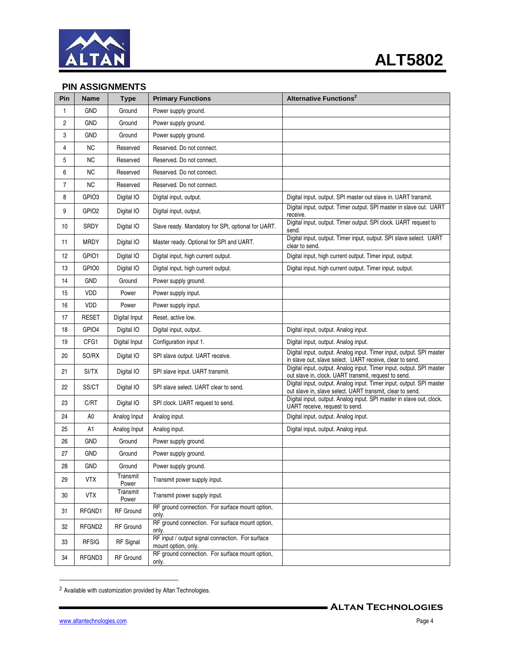

## **PIN ASSIGNMENTS**

| Pin            | <b>Name</b>       | <b>Type</b>       | <b>Primary Functions</b>                                                | <b>Alternative Functions<sup>2</sup></b>                                                                                          |
|----------------|-------------------|-------------------|-------------------------------------------------------------------------|-----------------------------------------------------------------------------------------------------------------------------------|
| 1              | <b>GND</b>        | Ground            | Power supply ground.                                                    |                                                                                                                                   |
| $\overline{2}$ | GND               | Ground            | Power supply ground.                                                    |                                                                                                                                   |
| 3              | GND               | Ground            | Power supply ground.                                                    |                                                                                                                                   |
| 4              | <b>NC</b>         | Reserved          | Reserved. Do not connect.                                               |                                                                                                                                   |
| 5              | <b>NC</b>         | Reserved          | Reserved. Do not connect.                                               |                                                                                                                                   |
| 6              | <b>NC</b>         | Reserved          | Reserved. Do not connect.                                               |                                                                                                                                   |
| $\overline{7}$ | NC                | Reserved          | Reserved. Do not connect.                                               |                                                                                                                                   |
| 8              | GPIO3             | Digital IO        | Digital input, output.                                                  | Digital input, output. SPI master out slave in. UART transmit.                                                                    |
| 9              | GPIO <sub>2</sub> | Digital IO        | Digital input, output.                                                  | Digital input, output. Timer output. SPI master in slave out. UART<br>receive.                                                    |
| 10             | SRDY              | Digital IO        | Slave ready. Mandatory for SPI, optional for UART.                      | Digital input, output. Timer output. SPI clock. UART request to<br>send.                                                          |
| 11             | <b>MRDY</b>       | Digital IO        | Master ready. Optional for SPI and UART.                                | Digital input, output. Timer input, output. SPI slave select. UART<br>clear to send.                                              |
| 12             | GPIO1             | Digital IO        | Digital input, high current output.                                     | Digital input, high current output. Timer input, output.                                                                          |
| 13             | GPIO0             | Digital IO        | Digital input, high current output.                                     | Digital input, high current output. Timer input, output.                                                                          |
| 14             | <b>GND</b>        | Ground            | Power supply ground.                                                    |                                                                                                                                   |
| 15             | <b>VDD</b>        | Power             | Power supply input.                                                     |                                                                                                                                   |
| 16             | VDD               | Power             | Power supply input.                                                     |                                                                                                                                   |
| 17             | <b>RESET</b>      | Digital Input     | Reset, active low.                                                      |                                                                                                                                   |
| 18             | GPIO4             | Digital IO        | Digital input, output.                                                  | Digital input, output. Analog input.                                                                                              |
| 19             | CFG1              | Digital Input     | Configuration input 1.                                                  | Digital input, output. Analog input.                                                                                              |
| 20             | SO/RX             | Digital IO        | SPI slave output. UART receive.                                         | Digital input, output. Analog input. Timer input, output. SPI master<br>in slave out, slave select. UART receive, clear to send.  |
| 21             | SI/TX             | Digital IO        | SPI slave input. UART transmit.                                         | Digital input, output. Analog input. Timer input, output. SPI master<br>out slave in, clock. UART transmit, request to send.      |
| 22             | SS/CT             | Digital IO        | SPI slave select. UART clear to send.                                   | Digital input, output. Analog input. Timer input, output. SPI master<br>out slave in, slave select. UART transmit, clear to send. |
| 23             | C/RT              | Digital IO        | SPI clock. UART request to send.                                        | Digital input, output. Analog input. SPI master in slave out, clock.<br>UART receive, request to send.                            |
| 24             | A <sub>0</sub>    | Analog Input      | Analog input.                                                           | Digital input, output. Analog input.                                                                                              |
| 25             | A1                | Analog Input      | Analog input.                                                           | Digital input, output. Analog input.                                                                                              |
| 26             | <b>GND</b>        | Ground            | Power supply ground.                                                    |                                                                                                                                   |
| 27             | <b>GND</b>        | Ground            | Power supply ground.                                                    |                                                                                                                                   |
| 28             | GND               | Ground            | Power supply ground.                                                    |                                                                                                                                   |
| 29             | <b>VTX</b>        | Transmit<br>Power | Transmit power supply input.                                            |                                                                                                                                   |
| 30             | <b>VTX</b>        | Transmit<br>Power | Transmit power supply input.                                            |                                                                                                                                   |
| 31             | RFGND1            | RF Ground         | RF ground connection. For surface mount option,<br>only.                |                                                                                                                                   |
| 32             | RFGND2            | RF Ground         | RF ground connection. For surface mount option,<br>only.                |                                                                                                                                   |
| 33             | <b>RFSIG</b>      | <b>RF</b> Signal  | RF input / output signal connection. For surface<br>mount option, only. |                                                                                                                                   |
| 34             | RFGND3            | RF Ground         | RF ground connection. For surface mount option,<br>only.                |                                                                                                                                   |

<sup>2</sup> Available with customization provided by Altan Technologies.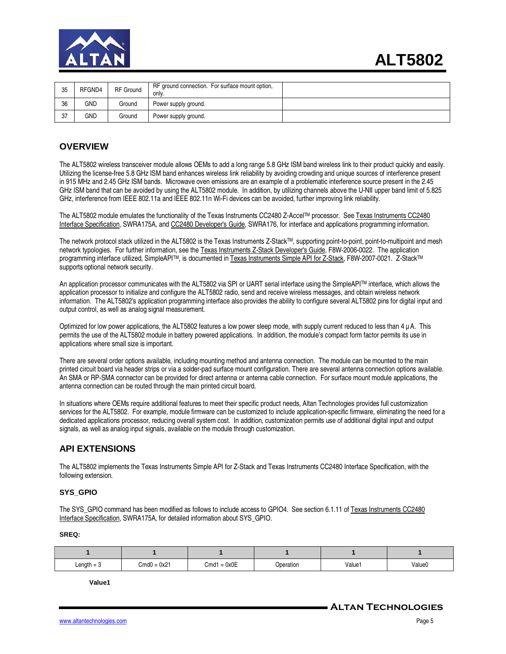

| 35 | RFGND4 | <b>RF</b> Ground | RF ground connection. For surface mount option,<br>only. |  |
|----|--------|------------------|----------------------------------------------------------|--|
| 36 | GND    | Ground           | Power supply ground.                                     |  |
| 37 | GND    | Ground           | Power supply ground.                                     |  |

#### **OVERVIEW**

The ALT5802 wireless transceiver module allows OEMs to add a long range 5.8 GHz ISM band wireless link to their product quickly and easily. Utilizing the license-free 5.8 GHz ISM band enhances wireless link reliability by avoiding crowding and unique sources of interference present in 915 MHz and 2.45 GHz ISM bands. Microwave oven emissions are an example of a problematic interference source present in the 2.45 GHz ISM band that can be avoided by using the ALT5802 module. In addition, by utilizing channels above the U-NII upper band limit of 5.825 GHz, interference from IEEE 802.11a and IEEE 802.11n Wi-Fi devices can be avoided, further improving link reliability.

The ALT5802 module emulates the functionality of the Texas Instruments CC2480 Z-AccelTM processor. See Texas Instruments CC2480 Interface Specification, SWRA175A, and CC2480 Developer's Guide, SWRA176, for interface and applications programming information.

The network protocol stack utilized in the ALT5802 is the Texas Instruments Z-Stack™, supporting point-to-point, point-to-multipoint and mesh network typologies. For further information, see the Texas Instruments Z-Stack Developer's Guide, F8W-2006-0022. The application programming interface utilized, SimpleAPI™, is documented in Texas Instruments Simple API for Z-Stack, F8W-2007-0021. Z-Stack™ supports optional network security.

An application processor communicates with the ALT5802 via SPI or UART serial interface using the SimpleAPITM interface, which allows the application processor to initialize and configure the ALT5802 radio, send and receive wireless messages, and obtain wireless network information. The ALT5802's application programming interface also provides the ability to configure several ALT5802 pins for digital input and output control, as well as analog signal measurement.

Optimized for low power applications, the ALT5802 features a low power sleep mode, with supply current reduced to less than 4 µ A. This permits the use of the ALT5802 module in battery powered applications. In addition, the module's compact form factor permits its use in applications where small size is important.

There are several order options available, including mounting method and antenna connection. The module can be mounted to the main printed circuit board via header strips or via a solder-pad surface mount configuration. There are several antenna connection options available. An SMA or RP-SMA connector can be provided for direct antenna or antenna cable connection. For surface mount module applications, the antenna connection can be routed through the main printed circuit board.

In situations where OEMs require additional features to meet their specific product needs, Altan Technologies provides full customization services for the ALT5802. For example, module firmware can be customized to include application-specific firmware, eliminating the need for a dedicated applications processor, reducing overall system cost. In addition, customization permits use of additional digital input and output signals, as well as analog input signals, available on the module through customization.

## **API EXTENSIONS**

The ALT5802 implements the Texas Instruments Simple API for Z-Stack and Texas Instruments CC2480 Interface Specification, with the following extension.

#### **SYS\_GPIO**

The SYS\_GPIO command has been modified as follows to include access to GPIO4. See section 6.1.11 of Texas Instruments CC2480 Interface Specification, SWRA175A, for detailed information about SYS\_GPIO.

**SREQ:** 

| Length $=$ 3 | $Cmd0 = 0x21$ | $= 0x0E$<br>Cmd1 | Operation | Value1 | Value0 |
|--------------|---------------|------------------|-----------|--------|--------|

**Value1**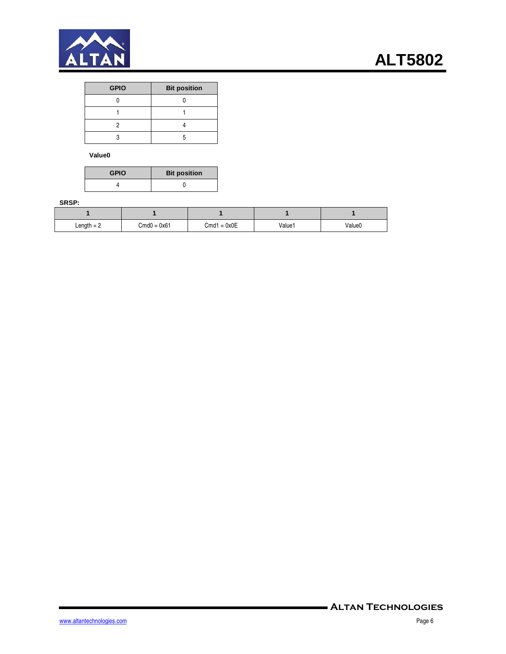

| <b>GPIO</b> | <b>Bit position</b> |
|-------------|---------------------|
|             |                     |
|             |                     |
|             |                     |
|             |                     |

**Value0** 

| <b>GPIO</b> | <b>Bit position</b> |
|-------------|---------------------|
|             |                     |

#### **SRSP:**

| Length $= 2$ | $Cmd0 = 0x61$ | $Cmd1 = 0x0E$ | Value1 | Value0 |
|--------------|---------------|---------------|--------|--------|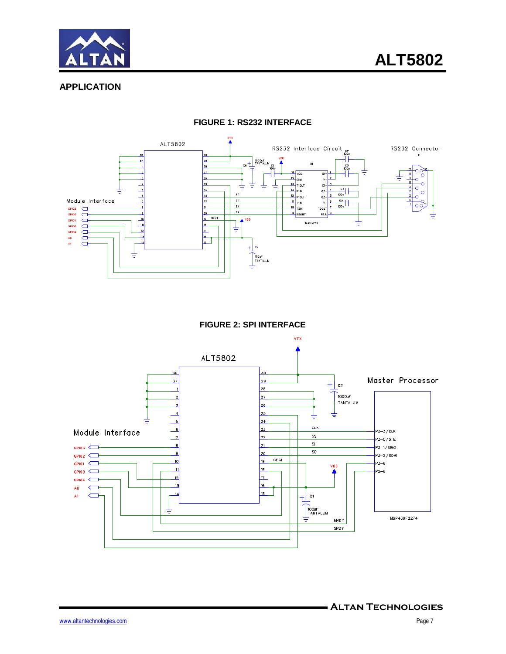



## **APPLICATION**



#### **FIGURE 1: RS232 INTERFACE**

#### **FIGURE 2: SPI INTERFACE**

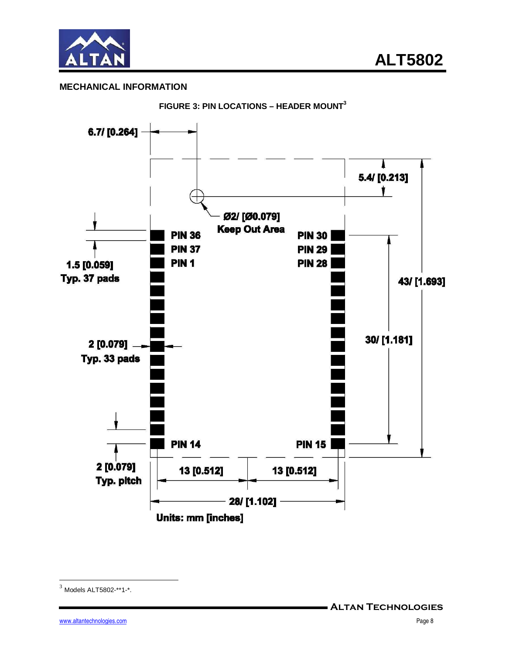

## **MECHANICAL INFORMATION**



**FIGURE 3: PIN LOCATIONS – HEADER MOUNT<sup>3</sup>**

 $3$  Models ALT5802-\*\*1-\*.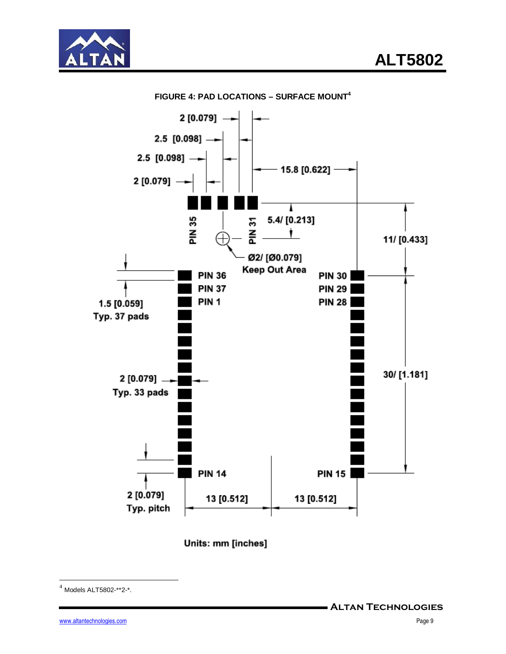





**FIGURE 4: PAD LOCATIONS – SURFACE MOUNT<sup>4</sup>**

Units: mm [inches]

<sup>4</sup> Models ALT5802-\*\*2-\*.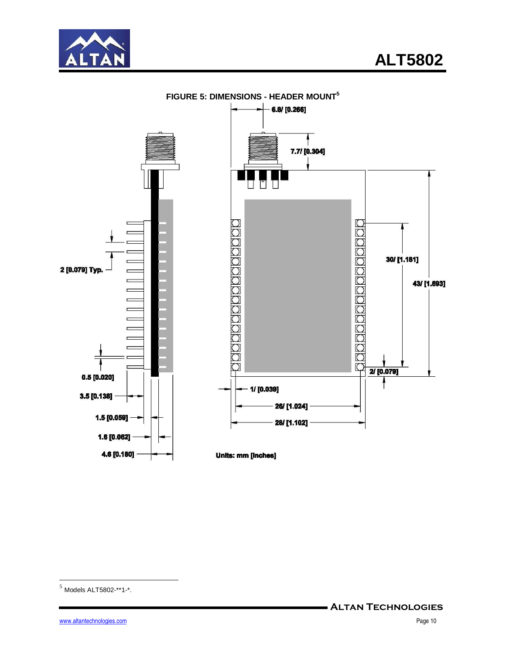



**FIGURE 5: DIMENSIONS - HEADER MOUNT<sup>5</sup>**

 $<sup>5</sup>$  Models ALT5802-\*\*1-\*.</sup>